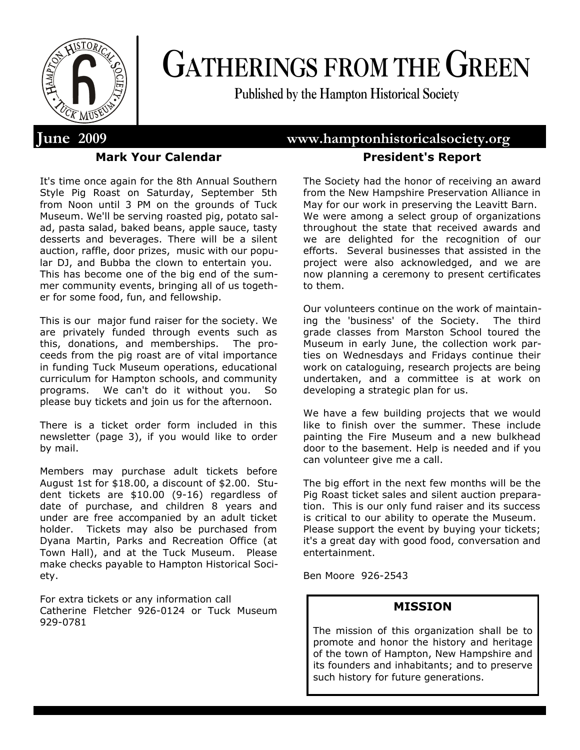

# **GATHERINGS FROM THE GREEN**

**Published by the Hampton Historical Society**

# **Mark Your Calendar**

It's time once again for the 8th Annual Southern Style Pig Roast on Saturday, September 5th from Noon until 3 PM on the grounds of Tuck Museum. We'll be serving roasted pig, potato salad, pasta salad, baked beans, apple sauce, tasty desserts and beverages. There will be a silent auction, raffle, door prizes, music with our popular DJ, and Bubba the clown to entertain you. This has become one of the big end of the summer community events, bringing all of us together for some food, fun, and fellowship.

This is our major fund raiser for the society. We are privately funded through events such as this, donations, and memberships. The proceeds from the pig roast are of vital importance in funding Tuck Museum operations, educational curriculum for Hampton schools, and community programs. We can't do it without you. So please buy tickets and join us for the afternoon.

There is a ticket order form included in this newsletter (page 3), if you would like to order by mail.

Members may purchase adult tickets before August 1st for \$18.00, a discount of \$2.00. Student tickets are \$10.00 (9-16) regardless of date of purchase, and children 8 years and under are free accompanied by an adult ticket holder. Tickets may also be purchased from Dyana Martin, Parks and Recreation Office (at Town Hall), and at the Tuck Museum. Please make checks payable to Hampton Historical Society.

For extra tickets or any information call Catherine Fletcher 926-0124 or Tuck Museum 929-0781

# **June 2009 www.hamptonhistoricalsociety.org President's Report**

The Society had the honor of receiving an award from the New Hampshire Preservation Alliance in May for our work in preserving the Leavitt Barn. We were among a select group of organizations throughout the state that received awards and we are delighted for the recognition of our efforts. Several businesses that assisted in the project were also acknowledged, and we are now planning a ceremony to present certificates to them.

Our volunteers continue on the work of maintaining the 'business' of the Society. The third grade classes from Marston School toured the Museum in early June, the collection work parties on Wednesdays and Fridays continue their work on cataloguing, research projects are being undertaken, and a committee is at work on developing a strategic plan for us.

We have a few building projects that we would like to finish over the summer. These include painting the Fire Museum and a new bulkhead door to the basement. Help is needed and if you can volunteer give me a call.

The big effort in the next few months will be the Pig Roast ticket sales and silent auction preparation. This is our only fund raiser and its success is critical to our ability to operate the Museum. Please support the event by buying your tickets; it's a great day with good food, conversation and entertainment.

Ben Moore 926-2543

# **MISSION**

The mission of this organization shall be to promote and honor the history and heritage of the town of Hampton, New Hampshire and its founders and inhabitants; and to preserve such history for future generations.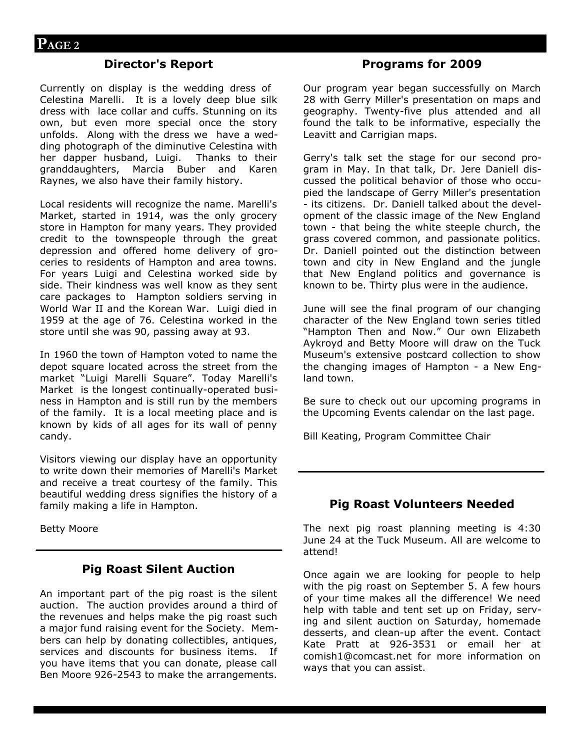# **Director's Report**

Currently on display is the wedding dress of Celestina Marelli. It is a lovely deep blue silk dress with lace collar and cuffs. Stunning on its own, but even more special once the story unfolds. Along with the dress we have a wedding photograph of the diminutive Celestina with her dapper husband, Luigi. Thanks to their granddaughters, Marcia Buber and Karen Raynes, we also have their family history.

Local residents will recognize the name. Marelli's Market, started in 1914, was the only grocery store in Hampton for many years. They provided credit to the townspeople through the great depression and offered home delivery of groceries to residents of Hampton and area towns. For years Luigi and Celestina worked side by side. Their kindness was well know as they sent care packages to Hampton soldiers serving in World War II and the Korean War. Luigi died in 1959 at the age of 76. Celestina worked in the store until she was 90, passing away at 93.

In 1960 the town of Hampton voted to name the depot square located across the street from the market "Luigi Marelli Square". Today Marelli's Market is the longest continually-operated business in Hampton and is still run by the members of the family. It is a local meeting place and is known by kids of all ages for its wall of penny candy.

Visitors viewing our display have an opportunity to write down their memories of Marelli's Market and receive a treat courtesy of the family. This beautiful wedding dress signifies the history of a family making a life in Hampton.

Betty Moore

# **Pig Roast Silent Auction**

An important part of the pig roast is the silent auction. The auction provides around a third of the revenues and helps make the pig roast such a major fund raising event for the Society. Members can help by donating collectibles, antiques, services and discounts for business items. If you have items that you can donate, please call Ben Moore 926-2543 to make the arrangements.

# **Programs for 2009**

Our program year began successfully on March 28 with Gerry Miller's presentation on maps and geography. Twenty-five plus attended and all found the talk to be informative, especially the Leavitt and Carrigian maps.

Gerry's talk set the stage for our second program in May. In that talk, Dr. Jere Daniell discussed the political behavior of those who occupied the landscape of Gerry Miller's presentation - its citizens. Dr. Daniell talked about the development of the classic image of the New England town - that being the white steeple church, the grass covered common, and passionate politics. Dr. Daniell pointed out the distinction between town and city in New England and the jungle that New England politics and governance is known to be. Thirty plus were in the audience.

June will see the final program of our changing character of the New England town series titled "Hampton Then and Now." Our own Elizabeth Aykroyd and Betty Moore will draw on the Tuck Museum's extensive postcard collection to show the changing images of Hampton - a New England town.

Be sure to check out our upcoming programs in the Upcoming Events calendar on the last page.

Bill Keating, Program Committee Chair

# **Pig Roast Volunteers Needed**

The next pig roast planning meeting is 4:30 June 24 at the Tuck Museum. All are welcome to attend!

Once again we are looking for people to help with the pig roast on September 5. A few hours of your time makes all the difference! We need help with table and tent set up on Friday, serving and silent auction on Saturday, homemade desserts, and clean-up after the event. Contact Kate Pratt at 926-3531 or email her at comish1@comcast.net for more information on ways that you can assist.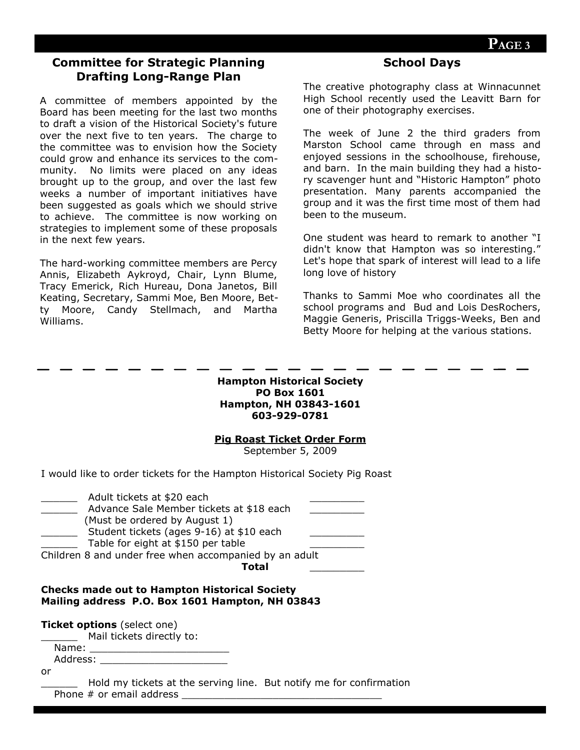# **Committee for Strategic Planning Drafting Long-Range Plan**

A committee of members appointed by the Board has been meeting for the last two months to draft a vision of the Historical Society's future over the next five to ten years. The charge to the committee was to envision how the Society could grow and enhance its services to the community. No limits were placed on any ideas brought up to the group, and over the last few weeks a number of important initiatives have been suggested as goals which we should strive to achieve. The committee is now working on strategies to implement some of these proposals in the next few years.

The hard-working committee members are Percy Annis, Elizabeth Aykroyd, Chair, Lynn Blume, Tracy Emerick, Rich Hureau, Dona Janetos, Bill Keating, Secretary, Sammi Moe, Ben Moore, Betty Moore, Candy Stellmach, and Martha Williams.

### **School Days**

The creative photography class at Winnacunnet High School recently used the Leavitt Barn for one of their photography exercises.

The week of June 2 the third graders from Marston School came through en mass and enjoyed sessions in the schoolhouse, firehouse, and barn. In the main building they had a history scavenger hunt and "Historic Hampton" photo presentation. Many parents accompanied the group and it was the first time most of them had been to the museum.

One student was heard to remark to another "I didn't know that Hampton was so interesting." Let's hope that spark of interest will lead to a life long love of history

Thanks to Sammi Moe who coordinates all the school programs and Bud and Lois DesRochers, Maggie Generis, Priscilla Triggs-Weeks, Ben and Betty Moore for helping at the various stations.

| <b>Hampton Historical Society</b> |  |  |
|-----------------------------------|--|--|
| <b>PO Box 1601</b>                |  |  |
| <b>Hampton, NH 03843-1601</b>     |  |  |
| 603-929-0781                      |  |  |

#### **Pig Roast Ticket Order Form**

September 5, 2009

I would like to order tickets for the Hampton Historical Society Pig Roast

| Adult tickets at \$20 each                             |
|--------------------------------------------------------|
| Advance Sale Member tickets at \$18 each               |
| (Must be ordered by August 1)                          |
| Student tickets (ages 9-16) at \$10 each               |
| Table for eight at \$150 per table                     |
| Children 8 and under free when accompanied by an adult |
| Total                                                  |

#### **Checks made out to Hampton Historical Society Mailing address P.O. Box 1601 Hampton, NH 03843**

**Ticket options** (select one)

Mail tickets directly to:

Name: Address: \_\_\_\_\_\_\_\_\_\_\_\_\_\_\_\_\_\_\_\_\_

or

Hold my tickets at the serving line. But notify me for confirmation Phone  $#$  or email address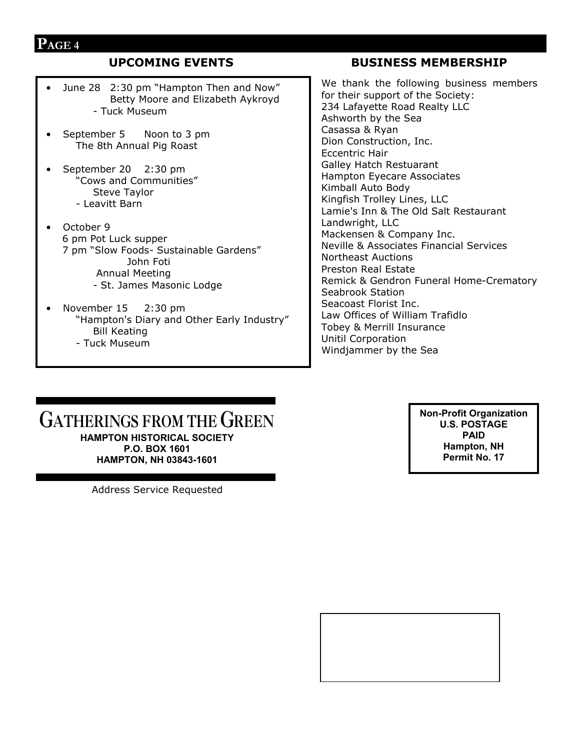# **PAGE 4**

- June 28 2:30 pm "Hampton Then and Now" Betty Moore and Elizabeth Aykroyd - Tuck Museum
- September 5 Noon to 3 pm The 8th Annual Pig Roast
- September 20 2:30 pm "Cows and Communities" Steve Taylor - Leavitt Barn
- October 9 6 pm Pot Luck supper 7 pm "Slow Foods- Sustainable Gardens" John Foti Annual Meeting - St. James Masonic Lodge
- November 15 2:30 pm "Hampton's Diary and Other Early Industry" Bill Keating - Tuck Museum

# **UPCOMING EVENTS BUSINESS MEMBERSHIP**

We thank the following business members for their support of the Society: 234 Lafayette Road Realty LLC Ashworth by the Sea Casassa & Ryan Dion Construction, Inc. Eccentric Hair Galley Hatch Restuarant Hampton Eyecare Associates Kimball Auto Body Kingfish Trolley Lines, LLC Lamie's Inn & The Old Salt Restaurant Landwright, LLC Mackensen & Company Inc. Neville & Associates Financial Services Northeast Auctions Preston Real Estate Remick & Gendron Funeral Home-Crematory Seabrook Station Seacoast Florist Inc. Law Offices of William Trafidlo Tobey & Merrill Insurance Unitil Corporation Windjammer by the Sea

# **GATHERINGS FROM THE GREEN HAMPTON HISTORICAL SOCIETY P.O. BOX 1601 HAMPTON, NH 03843-1601**

Address Service Requested

**Non-Profit Organization U.S. POSTAGE PAID Hampton, NH Permit No. 17**